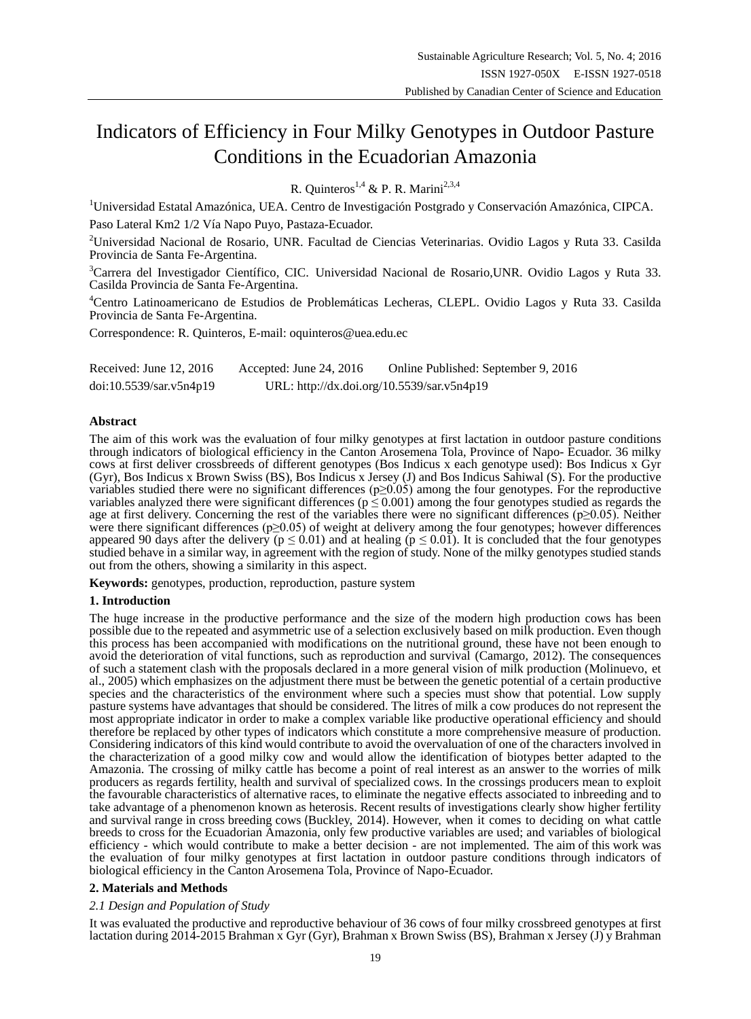# Indicators of Efficiency in Four Milky Genotypes in Outdoor Pasture Conditions in the Ecuadorian Amazonia

R. Quinteros<sup>1,4</sup> & P. R. Marini<sup>2,3,4</sup>

<sup>1</sup>Universidad Estatal Amaz ónica, UEA. Centro de Investigación Postgrado y Conservación Amazónica, CIPCA.

Paso Lateral Km2 1/2 V á Napo Puyo, Pastaza-Ecuador.

<sup>2</sup>Universidad Nacional de Rosario, UNR. Facultad de Ciencias Veterinarias. Ovidio Lagos y Ruta 33. Casilda Provincia de Santa Fe-Argentina.

<sup>3</sup>Carrera del Investigador Científico, CIC. Universidad Nacional de Rosario, UNR. Ovidio Lagos y Ruta 33. Casilda Provincia de Santa Fe-Argentina.

<sup>4</sup>Centro Latinoamericano de Estudios de Problemáticas Lecheras, CLEPL. Ovidio Lagos y Ruta 33. Casilda Provincia de Santa Fe-Argentina.

Correspondence: R. Quinteros, E-mail: oquinteros@uea.edu.ec

| Received: June $12, 2016$ | Accepted: June 24, $2016$                  | Online Published: September 9, 2016 |
|---------------------------|--------------------------------------------|-------------------------------------|
| doi:10.5539/sar.v5n4p19   | URL: http://dx.doi.org/10.5539/sar.v5n4p19 |                                     |

# **Abstract**

The aim of this work was the evaluation of four milky genotypes at first lactation in outdoor pasture conditions through indicators of biological efficiency in the Canton Arosemena Tola, Province of Napo- Ecuador. 36 milky cows at first deliver crossbreeds of different genotypes (Bos Indicus x each genotype used): Bos Indicus x Gyr (Gyr), Bos Indicus x Brown Swiss (BS), Bos Indicus x Jersey (J) and Bos Indicus Sahiwal (S). For the productive variables studied there were no significant differences (p≥0.05) among the four genotypes. For the reproductive variables analyzed there were significant differences ( $p \le 0.001$ ) among the four genotypes studied as regards the age at first delivery. Concerning the rest of the variables there were no significant differences (p≥0.05). Neither were there significant differences (p≥0.05) of weight at delivery among the four genotypes; however differences appeared 90 days after the delivery ( $p \le 0.01$ ) and at healing ( $p \le 0.01$ ). It is concluded that the four genotypes studied behave in a similar way, in agreement with the region of study. None of the milky genotypes studied stands out from the others, showing a similarity in this aspect.

**Keywords:** genotypes, production, reproduction, pasture system

# **1. Introduction**

The huge increase in the productive performance and the size of the modern high production cows has been possible due to the repeated and asymmetric use of a selection exclusively based on milk production. Even though this process has been accompanied with modifications on the nutritional ground, these have not been enough to avoid the deterioration of vital functions, such as reproduction and survival (Camargo, 2012). The consequences of such a statement clash with the proposals declared in a more general vision of milk production (Molinuevo, et al., 2005) which emphasizes on the adjustment there must be between the genetic potential of a certain productive species and the characteristics of the environment where such a species must show that potential. Low supply pasture systems have advantages that should be considered. The litres of milk a cow produces do not represent the most appropriate indicator in order to make a complex variable like productive operational efficiency and should therefore be replaced by other types of indicators which constitute a more comprehensive measure of production. Considering indicators of this kind would contribute to avoid the overvaluation of one of the characters involved in the characterization of a good milky cow and would allow the identification of biotypes better adapted to the Amazonia. The crossing of milky cattle has become a point of real interest as an answer to the worries of milk producers as regards fertility, health and survival of specialized cows. In the crossings producers mean to exploit the favourable characteristics of alternative races, to eliminate the negative effects associated to inbreeding and to take advantage of a phenomenon known as heterosis. Recent results of investigations clearly show higher fertility and survival range in cross breeding cows (Buckley, 2014). However, when it comes to deciding on what cattle breeds to cross for the Ecuadorian Amazonia, only few productive variables are used; and variables of biological efficiency - which would contribute to make a better decision - are not implemented. The aim of this work was the evaluation of four milky genotypes at first lactation in outdoor pasture conditions through indicators of biological efficiency in the Canton Arosemena Tola, Province of Napo-Ecuador.

# **2. Materials and Methods**

## *2.1 Design and Population of Study*

It was evaluated the productive and reproductive behaviour of 36 cows of four milky crossbreed genotypes at first lactation during 2014-2015 Brahman x Gyr (Gyr), Brahman x Brown Swiss (BS), Brahman x Jersey (J) y Brahman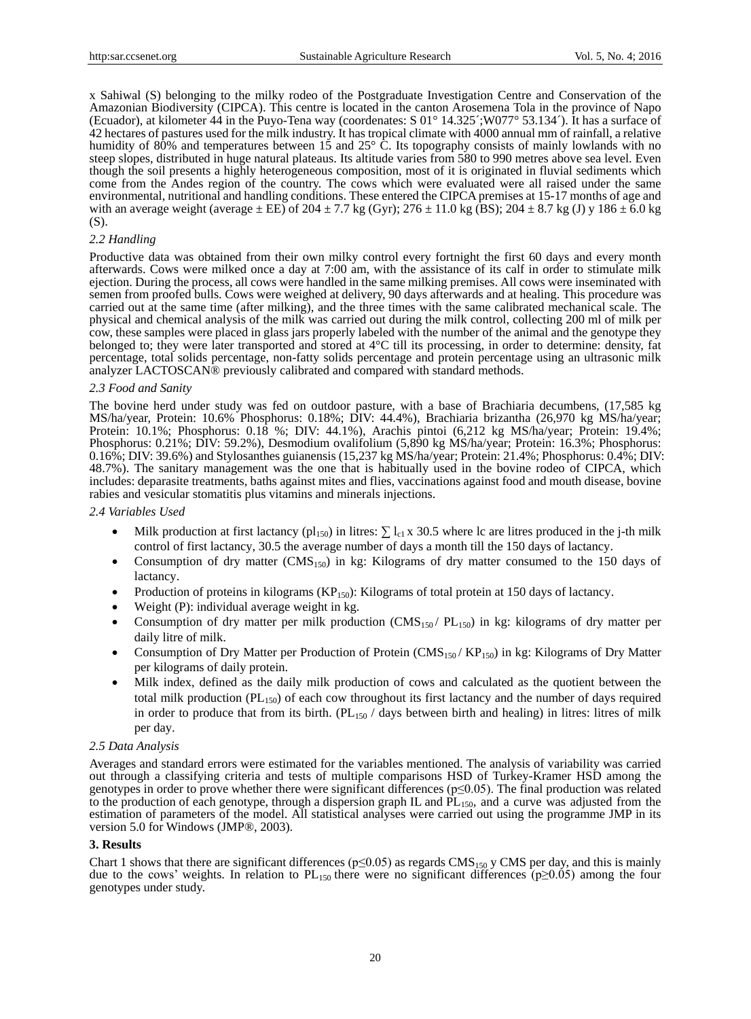x Sahiwal (S) belonging to the milky rodeo of the Postgraduate Investigation Centre and Conservation of the Amazonian Biodiversity (CIPCA). This centre is located in the canton Arosemena Tola in the province of Napo (Ecuador), at kilometer 44 in the Puyo-Tena way (coordenates: S 01°14.325´;W077°53.134´). It has a surface of 42 hectares of pastures used for the milk industry. It has tropical climate with 4000 annual mm of rainfall, a relative humidity of 80% and temperatures between 15 and 25 °C. Its topography consists of mainly lowlands with no steep slopes, distributed in huge natural plateaus. Its altitude varies from 580 to 990 metres above sea level. Even though the soil presents a highly heterogeneous composition, most of it is originated in fluvial sediments which come from the Andes region of the country. The cows which were evaluated were all raised under the same environmental, nutritional and handling conditions. These entered the CIPCA premises at 15-17 months of age and with an average weight (average  $\pm$ EE) of 204  $\pm$ 7.7 kg (Gyr); 276  $\pm$ 11.0 kg (BS); 204  $\pm$ 8.7 kg (J) y 186  $\pm$ 6.0 kg (S).

## *2.2 Handling*

Productive data was obtained from their own milky control every fortnight the first 60 days and every month afterwards. Cows were milked once a day at 7:00 am, with the assistance of its calf in order to stimulate milk ejection. During the process, all cows were handled in the same milking premises. All cows were inseminated with semen from proofed bulls. Cows were weighed at delivery, 90 days afterwards and at healing. This procedure was carried out at the same time (after milking), and the three times with the same calibrated mechanical scale. The physical and chemical analysis of the milk was carried out during the milk control, collecting 200 ml of milk per cow, these samples were placed in glass jars properly labeled with the number of the animal and the genotype they belonged to; they were later transported and stored at  $4 \, \text{C}$  till its processing, in order to determine: density, fat percentage, total solids percentage, non-fatty solids percentage and protein percentage using an ultrasonic milk analyzer LACTOSCAN® previously calibrated and compared with standard methods.

## *2.3 Food and Sanity*

The bovine herd under study was fed on outdoor pasture, with a base of Brachiaria decumbens, (17,585 kg MS/ha/year, Protein: 10.6% Phosphorus: 0.18%; DIV: 44.4%), Brachiaria brizantha (26,970 kg MS/ha/year; Protein: 10.1%; Phosphorus: 0.18 %; DIV: 44.1%), Arachis pintoi (6,212 kg MS/ha/year; Protein: 19.4%; Phosphorus: 0.21%; DIV: 59.2%), Desmodium ovalifolium (5,890 kg MS/ha/year; Protein: 16.3%; Phosphorus: 0.16%; DIV: 39.6%) and Stylosanthes guianensis (15,237 kg MS/ha/year; Protein: 21.4%; Phosphorus: 0.4%; DIV: 48.7%). The sanitary management was the one that is habitually used in the bovine rodeo of CIPCA, which includes: deparasite treatments, baths against mites and flies, vaccinations against food and mouth disease, bovine rabies and vesicular stomatitis plus vitamins and minerals injections.

#### *2.4 Variables Used*

- Milk production at first lactancy ( $pl<sub>150</sub>$ ) in litres:  $\sum l<sub>c1</sub>$  x 30.5 where lc are litres produced in the j-th milk control of first lactancy, 30.5 the average number of days a month till the 150 days of lactancy.
- Consumption of dry matter  $(CMS_{150})$  in kg: Kilograms of dry matter consumed to the 150 days of lactancy.
- Production of proteins in kilograms (KP<sub>150</sub>): Kilograms of total protein at 150 days of lactancy.
- Weight (P): individual average weight in kg.
- Consumption of dry matter per milk production  $(CMS_{150}/PL_{150})$  in kg: kilograms of dry matter per daily litre of milk.
- Consumption of Dry Matter per Production of Protein (CMS<sub>150</sub>/ KP<sub>150</sub>) in kg: Kilograms of Dry Matter per kilograms of daily protein.
- Milk index, defined as the daily milk production of cows and calculated as the quotient between the total milk production  $(PL_{150})$  of each cow throughout its first lactancy and the number of days required in order to produce that from its birth.  $(PL_{150} / days)$  between birth and healing) in litres: litres of milk per day.

## *2.5 Data Analysis*

Averages and standard errors were estimated for the variables mentioned. The analysis of variability was carried out through a classifying criteria and tests of multiple comparisons HSD of Turkey-Kramer HSD among the genotypes in order to prove whether there were significant differences ( $p \le 0.05$ ). The final production was related to the production of each genotype, through a dispersion graph IL and  $PL_{150}$ , and a curve was adjusted from the estimation of parameters of the model. All statistical analyses were carried out using the programme JMP in its version 5.0 for Windows (JMP®, 2003).

## **3. Results**

Chart 1 shows that there are significant differences ( $p \le 0.05$ ) as regards CMS<sub>150</sub> y CMS per day, and this is mainly due to the cows' weights. In relation to PL<sub>150</sub> there were no significant differences ( $p\geq 0.05$ ) among the four genotypes under study.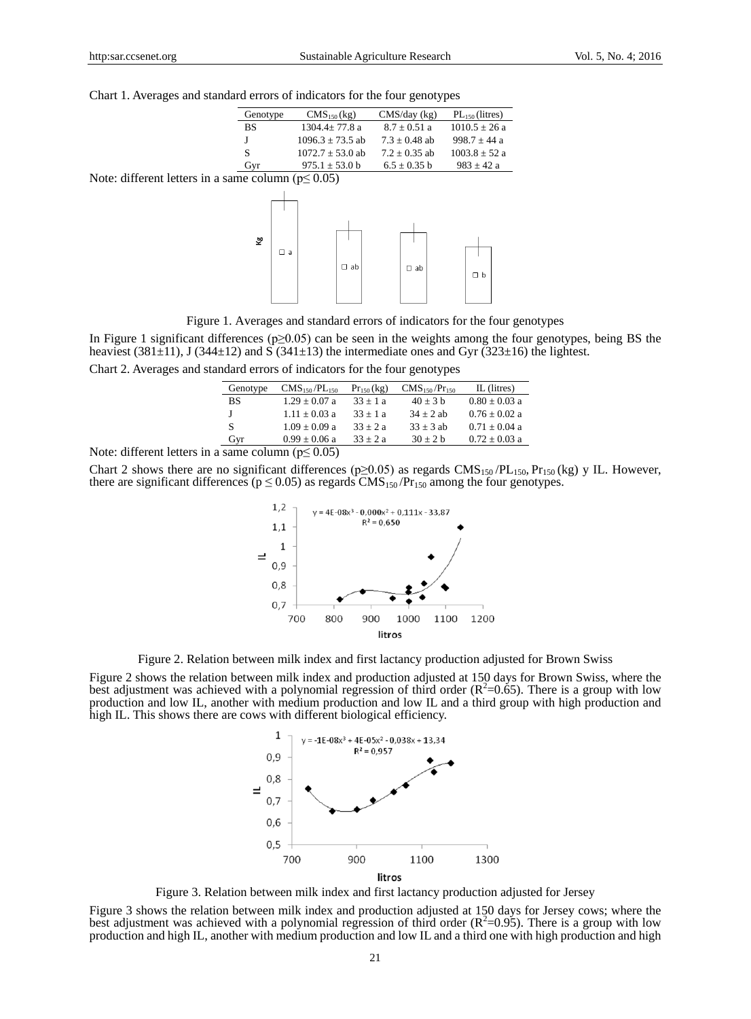#### Chart 1. Averages and standard errors of indicators for the four genotypes

|                                                           | Genotype  | $CMS_{150} (kg)$           | CMS/day (kg)      | $PL_{150}$ (litres) |
|-----------------------------------------------------------|-----------|----------------------------|-------------------|---------------------|
|                                                           | <b>BS</b> | $1304.4 \pm 77.8$ a        | $8.7 \pm 0.51$ a  | $1010.5 \pm 26$ a   |
|                                                           |           | $1096.3 \pm 73.5$ ab       | $7.3 \pm 0.48$ ab | $998.7 + 44a$       |
|                                                           | S         | $1072.7 \pm 53.0$ ab       | $7.2 \pm 0.35$ ab | $1003.8 \pm 52$ a   |
|                                                           | Gvr       | $975.1 \pm 53.0 \text{ b}$ | $6.5 \pm 0.35$ b  | 983 $\pm$ 42 a      |
| Note: different letters in a same column ( $p \le 0.05$ ) |           |                            |                   |                     |
|                                                           |           |                            |                   |                     |



Figure 1. Averages and standard errors of indicators for the four genotypes

In Figure 1 significant differences (p≥0.05) can be seen in the weights among the four genotypes, being BS the heaviest (381 $\pm$ 11), J (344 $\pm$ 12) and S (341 $\pm$ 13) the intermediate ones and Gyr (323 $\pm$ 16) the lightest.

Chart 2. Averages and standard errors of indicators for the four genotypes

| $0.80 \pm 0.03$ a<br><b>BS</b><br>$1.29 \pm 0.07$ a<br>$33 \pm 1$ a<br>$40 \pm 3$ b<br>$0.76 \pm 0.02$ a<br>$33 + 1a$<br>$1.11 + 0.03$ a<br>$34 + 2$ ab<br>-<br>$1.09 + 0.09$ a<br>$33 + 2a$<br>$0.71 \pm 0.04$ a<br>$33 + 3$ ab<br>S<br>$0.72 \pm 0.03$ a<br>$0.99 \pm 0.06$ a<br>$33 + 2a$<br>$30 + 2 h$<br>Gvr | Genotype | $CMS_{150}/PL_{150}$ | $Pr_{150}$ (kg) | $CMS_{150}/Pr_{150}$ | $IL$ (litres) |
|-------------------------------------------------------------------------------------------------------------------------------------------------------------------------------------------------------------------------------------------------------------------------------------------------------------------|----------|----------------------|-----------------|----------------------|---------------|
|                                                                                                                                                                                                                                                                                                                   |          |                      |                 |                      |               |
|                                                                                                                                                                                                                                                                                                                   |          |                      |                 |                      |               |
|                                                                                                                                                                                                                                                                                                                   |          |                      |                 |                      |               |
|                                                                                                                                                                                                                                                                                                                   |          |                      |                 |                      |               |

Note: different letters in a same column ( $p \le 0.05$ )

Chart 2 shows there are no significant differences (p≥0.05) as regards CMS<sub>150</sub>/PL<sub>150</sub>, Pr<sub>150</sub> (kg) y IL. However, there are significant differences ( $p \le 0.05$ ) as regards CMS<sub>150</sub>/Pr<sub>150</sub> among the four genotypes.



Figure 2. Relation between milk index and first lactancy production adjusted for Brown Swiss

Figure 2 shows the relation between milk index and production adjusted at 150 days for Brown Swiss, where the best adjustment was achieved with a polynomial regression of third order  $(R^2=0.65)$ . There is a group with low production and low IL, another with medium production and low IL and a third group with high production and high IL. This shows there are cows with different biological efficiency.



Figure 3. Relation between milk index and first lactancy production adjusted for Jersey

Figure 3 shows the relation between milk index and production adjusted at 150 days for Jersey cows; where the best adjustment was achieved with a polynomial regression of third order  $(R^2=0.95)$ . There is a group with low production and high IL, another with medium production and low IL and a third one with high production and high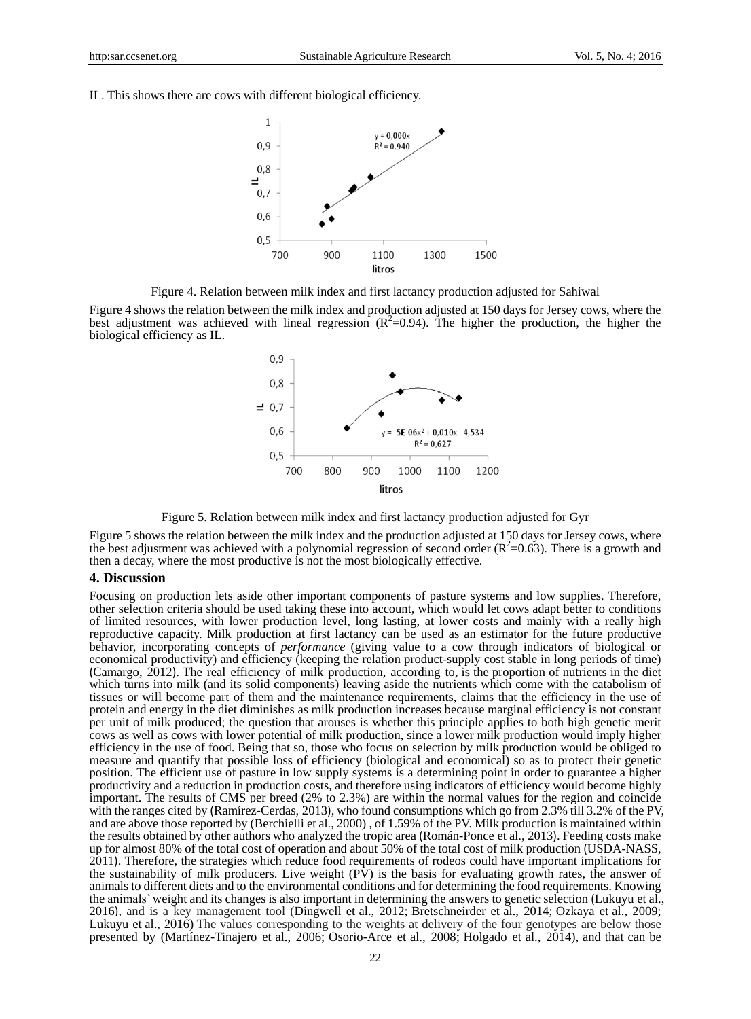IL. This shows there are cows with different biological efficiency.



Figure 4. Relation between milk index and first lactancy production adjusted for Sahiwal

Figure 4 shows the relation between the milk index and production adjusted at 150 days for Jersey cows, where the best adjustment was achieved with lineal regression  $(R^2=0.94)$ . The higher the production, the higher the biological efficiency as IL.



Figure 5. Relation between milk index and first lactancy production adjusted for Gyr

Figure 5 shows the relation between the milk index and the production adjusted at 150 days for Jersey cows, where the best adjustment was achieved with a polynomial regression of second order  $(R^2=0.63)$ . There is a growth and then a decay, where the most productive is not the most biologically effective.

#### **4. Discussion**

Focusing on production lets aside other important components of pasture systems and low supplies. Therefore, other selection criteria should be used taking these into account, which would let cows adapt better to conditions of limited resources, with lower production level, long lasting, at lower costs and mainly with a really high reproductive capacity. Milk production at first lactancy can be used as an estimator for the future productive behavior, incorporating concepts of *performance* (giving value to a cow through indicators of biological or economical productivity) and efficiency (keeping the relation product-supply cost stable in long periods of time) (Camargo, 2012). The real efficiency of milk production, according to, is the proportion of nutrients in the diet which turns into milk (and its solid components) leaving aside the nutrients which come with the catabolism of tissues or will become part of them and the maintenance requirements, claims that the efficiency in the use of protein and energy in the diet diminishes as milk production increases because marginal efficiency is not constant per unit of milk produced; the question that arouses is whether this principle applies to both high genetic merit cows as well as cows with lower potential of milk production, since a lower milk production would imply higher efficiency in the use of food. Being that so, those who focus on selection by milk production would be obliged to measure and quantify that possible loss of efficiency (biological and economical) so as to protect their genetic position. The efficient use of pasture in low supply systems is a determining point in order to guarantee a higher productivity and a reduction in production costs, and therefore using indicators of efficiency would become highly important. The results of CMS per breed (2% to 2.3%) are within the normal values for the region and coincide with the ranges cited by (Ram fez-Cerdas, 2013), who found consumptions which go from 2.3% till 3.2% of the PV, and are above those reported by (Berchielli et al., 2000) , of 1.59% of the PV. Milk production is maintained within the results obtained by other authors who analyzed the tropic area (Román-Ponce et al., 2013). Feeding costs make up for almost 80% of the total cost of operation and about 50% of the total cost of milk production (USDA-NASS, 2011). Therefore, the strategies which reduce food requirements of rodeos could have important implications for the sustainability of milk producers. Live weight  $(PV)$  is the basis for evaluating growth rates, the answer of animals to different diets and to the environmental conditions and for determining the food requirements. Knowing the animals' weight and its changes is also important in determining the answers to genetic selection (Lukuyu et al., 2016), and is a key management tool (Dingwell et al., 2012; Bretschneirder et al., 2014; Ozkaya et al., 2009; Lukuyu et al., 2016) The values corresponding to the weights at delivery of the four genotypes are below those presented by [\(Martínez-Tinajero](mailto:jaimej@unach.mx) et al., 2006; Osorio-Arce et al., 2008; Holgado et al., 2014), and that can be